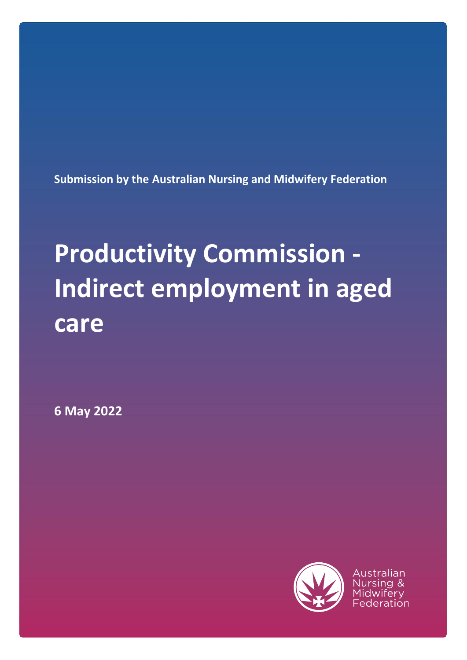**Submission by the Australian Nursing and Midwifery Federation**

## **Productivity Commission - Indirect employment in aged care**

**6 May 2022**



Australian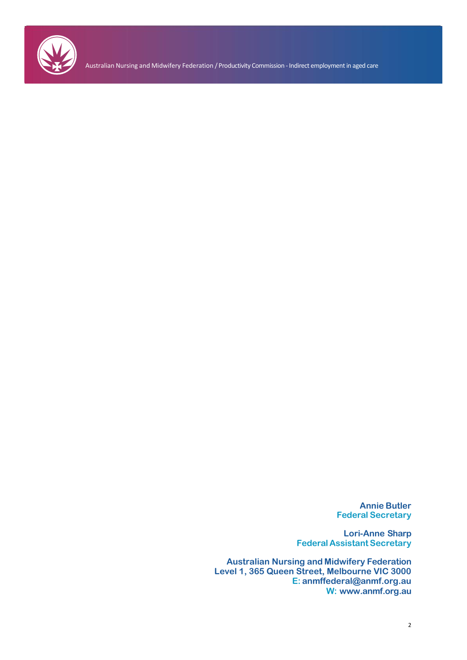

Australian Nursing and Midwifery Federation / Productivity Commission -Indirect employment in aged care

**Annie Butler Federal Secretary**

**Lori-Anne Sharp Federal Assistant Secretary**

**Australian Nursing and Midwifery Federation Level 1, 365 Queen Street, Melbourne VIC 3000 E: [anmffederal@anmf.org.au](mailto:anmffederal@anmf.org.au) W: [www.anmf.org.au](http://www.anmf.org.au/)**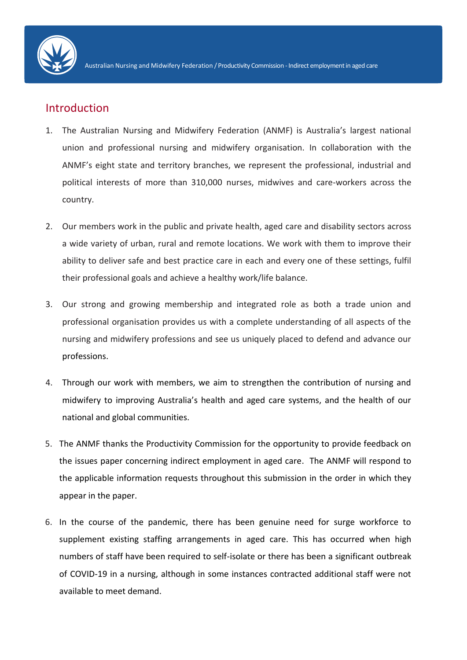

## Introduction

- 1. The Australian Nursing and Midwifery Federation (ANMF) is Australia's largest national union and professional nursing and midwifery organisation. In collaboration with the ANMF's eight state and territory branches, we represent the professional, industrial and political interests of more than 310,000 nurses, midwives and care-workers across the country.
- 2. Our members work in the public and private health, aged care and disability sectors across a wide variety of urban, rural and remote locations. We work with them to improve their ability to deliver safe and best practice care in each and every one of these settings, fulfil their professional goals and achieve a healthy work/life balance.
- 3. Our strong and growing membership and integrated role as both a trade union and professional organisation provides us with a complete understanding of all aspects of the nursing and midwifery professions and see us uniquely placed to defend and advance our professions.
- 4. Through our work with members, we aim to strengthen the contribution of nursing and midwifery to improving Australia's health and aged care systems, and the health of our national and global communities.
- 5. The ANMF thanks the Productivity Commission for the opportunity to provide feedback on the issues paper concerning indirect employment in aged care. The ANMF will respond to the applicable information requests throughout this submission in the order in which they appear in the paper.
- 6. In the course of the pandemic, there has been genuine need for surge workforce to supplement existing staffing arrangements in aged care. This has occurred when high numbers of staff have been required to self-isolate or there has been a significant outbreak of COVID-19 in a nursing, although in some instances contracted additional staff were not available to meet demand.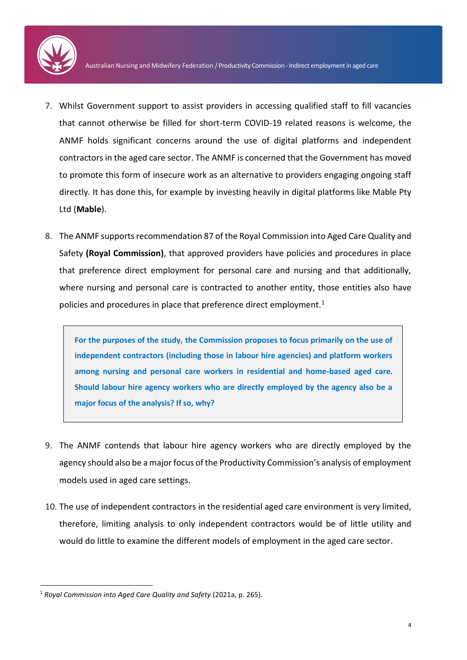

- 7. Whilst Government support to assist providers in accessing qualified staff to fill vacancies that cannot otherwise be filled for short-term COVID-19 related reasons is welcome, the ANMF holds significant concerns around the use of digital platforms and independent contractors in the aged care sector. The ANMF is concerned that the Government has moved to promote this form of insecure work as an alternative to providers engaging ongoing staff directly. It has done this, for example by investing heavily in digital platforms like Mable Pty Ltd (**Mable**).
- 8. The ANMF supports recommendation 87 of the Royal Commission into Aged Care Quality and Safety **(Royal Commission)**, that approved providers have policies and procedures in place that preference direct employment for personal care and nursing and that additionally, where nursing and personal care is contracted to another entity, those entities also have policies and procedures in place that preference direct employment. $1$

**For the purposes of the study, the Commission proposes to focus primarily on the use of independent contractors (including those in labour hire agencies) and platform workers among nursing and personal care workers in residential and home-based aged care. Should labour hire agency workers who are directly employed by the agency also be a major focus of the analysis? If so, why?**

- 9. The ANMF contends that labour hire agency workers who are directly employed by the agency should also be a major focus of the Productivity Commission's analysis of employment models used in aged care settings.
- 10. The use of independent contractors in the residential aged care environment is very limited, therefore, limiting analysis to only independent contractors would be of little utility and would do little to examine the different models of employment in the aged care sector.

1

<sup>1</sup> *Royal Commission into Aged Care Quality and Safety* (2021a, p. 265).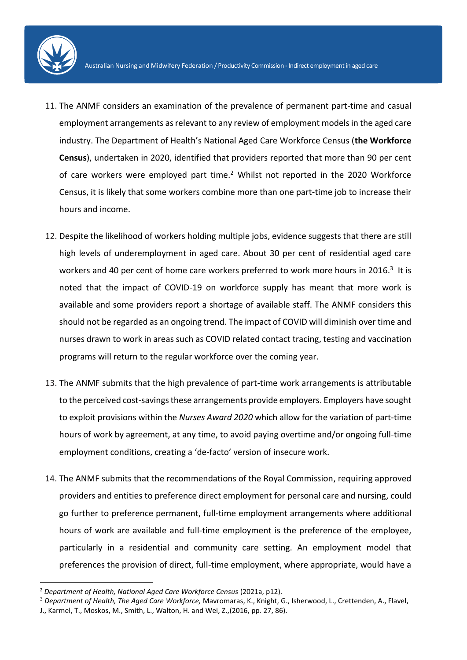

- 11. The ANMF considers an examination of the prevalence of permanent part-time and casual employment arrangements as relevant to any review of employment models in the aged care industry. The Department of Health's National Aged Care Workforce Census (**the Workforce Census**), undertaken in 2020, identified that providers reported that more than 90 per cent of care workers were employed part time.<sup>2</sup> Whilst not reported in the 2020 Workforce Census, it is likely that some workers combine more than one part-time job to increase their hours and income.
- 12. Despite the likelihood of workers holding multiple jobs, evidence suggests that there are still high levels of underemployment in aged care. About 30 per cent of residential aged care workers and 40 per cent of home care workers preferred to work more hours in 2016.<sup>3</sup> It is noted that the impact of COVID-19 on workforce supply has meant that more work is available and some providers report a shortage of available staff. The ANMF considers this should not be regarded as an ongoing trend. The impact of COVID will diminish over time and nurses drawn to work in areas such as COVID related contact tracing, testing and vaccination programs will return to the regular workforce over the coming year.
- 13. The ANMF submits that the high prevalence of part-time work arrangements is attributable to the perceived cost-savings these arrangements provide employers. Employers have sought to exploit provisions within the *Nurses Award 2020* which allow for the variation of part-time hours of work by agreement, at any time, to avoid paying overtime and/or ongoing full-time employment conditions, creating a 'de-facto' version of insecure work.
- 14. The ANMF submits that the recommendations of the Royal Commission, requiring approved providers and entities to preference direct employment for personal care and nursing, could go further to preference permanent, full-time employment arrangements where additional hours of work are available and full-time employment is the preference of the employee, particularly in a residential and community care setting. An employment model that preferences the provision of direct, full-time employment, where appropriate, would have a

<sup>2</sup> *Department of Health, National Aged Care Workforce Census* (2021a, p12).

<sup>3</sup> *Department of Health, The Aged Care Workforce,* Mavromaras, K., Knight, G., Isherwood, L., Crettenden, A., Flavel, J., Karmel, T., Moskos, M., Smith, L., Walton, H. and Wei, Z.,(2016, pp. 27, 86).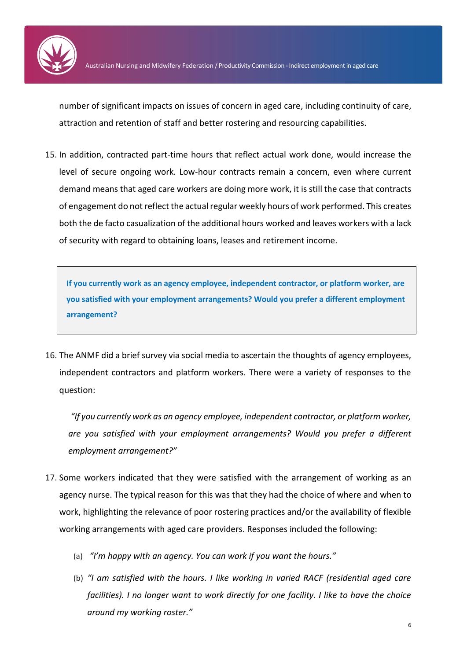

number of significant impacts on issues of concern in aged care, including continuity of care, attraction and retention of staff and better rostering and resourcing capabilities.

15. In addition, contracted part-time hours that reflect actual work done, would increase the level of secure ongoing work. Low-hour contracts remain a concern, even where current demand means that aged care workers are doing more work, it is still the case that contracts of engagement do not reflect the actual regular weekly hours of work performed. This creates both the de facto casualization of the additional hours worked and leaves workers with a lack of security with regard to obtaining loans, leases and retirement income.

**If you currently work as an agency employee, independent contractor, or platform worker, are you satisfied with your employment arrangements? Would you prefer a different employment arrangement?**

<span id="page-5-0"></span>16. The ANMF did a brief survey via social media to ascertain the thoughts of agency employees, independent contractors and platform workers. There were a variety of responses to the question:

*"If you currently work as an agency employee, independent contractor, or platform worker, are you satisfied with your employment arrangements? Would you prefer a different employment arrangement?"* 

- 17. Some workers indicated that they were satisfied with the arrangement of working as an agency nurse. The typical reason for this was that they had the choice of where and when to work, highlighting the relevance of poor rostering practices and/or the availability of flexible working arrangements with aged care providers. Responses included the following:
	- (a) *"I'm happy with an agency. You can work if you want the hours."*
	- (b) *"I am satisfied with the hours. I like working in varied RACF (residential aged care facilities). I no longer want to work directly for one facility. I like to have the choice around my working roster."*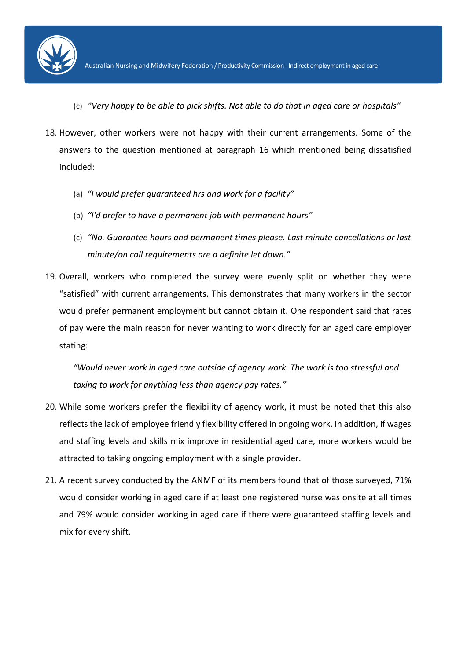

- (c) *"Very happy to be able to pick shifts. Not able to do that in aged care or hospitals"*
- 18. However, other workers were not happy with their current arrangements. Some of the answers to the question mentioned at paragraph [16](#page-5-0) which mentioned being dissatisfied included:
	- (a) *"I would prefer guaranteed hrs and work for a facility"*
	- (b) *"I'd prefer to have a permanent job with permanent hours"*
	- (c) *"No. Guarantee hours and permanent times please. Last minute cancellations or last minute/on call requirements are a definite let down."*
- 19. Overall, workers who completed the survey were evenly split on whether they were "satisfied" with current arrangements. This demonstrates that many workers in the sector would prefer permanent employment but cannot obtain it. One respondent said that rates of pay were the main reason for never wanting to work directly for an aged care employer stating:

*"Would never work in aged care outside of agency work. The work is too stressful and taxing to work for anything less than agency pay rates."*

- 20. While some workers prefer the flexibility of agency work, it must be noted that this also reflects the lack of employee friendly flexibility offered in ongoing work. In addition, if wages and staffing levels and skills mix improve in residential aged care, more workers would be attracted to taking ongoing employment with a single provider.
- 21. A recent survey conducted by the ANMF of its members found that of those surveyed, 71% would consider working in aged care if at least one registered nurse was onsite at all times and 79% would consider working in aged care if there were guaranteed staffing levels and mix for every shift.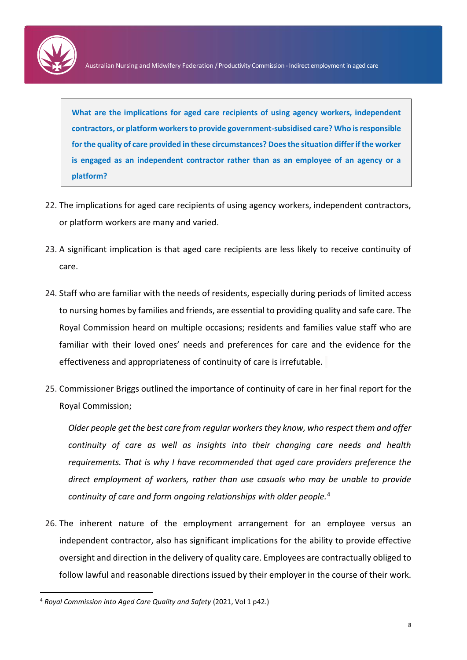

**What are the implications for aged care recipients of using agency workers, independent contractors, or platform workers to provide government-subsidised care? Who is responsible for the quality of care provided in these circumstances? Does the situation differ if the worker is engaged as an independent contractor rather than as an employee of an agency or a platform?**

- 22. The implications for aged care recipients of using agency workers, independent contractors, or platform workers are many and varied.
- 23. A significant implication is that aged care recipients are less likely to receive continuity of care.
- 24. Staff who are familiar with the needs of residents, especially during periods of limited access to nursing homes by families and friends, are essential to providing quality and safe care. The Royal Commission heard on multiple occasions; residents and families value staff who are familiar with their loved ones' needs and preferences for care and the evidence for the effectiveness and appropriateness of continuity of care is irrefutable.
- 25. Commissioner Briggs outlined the importance of continuity of care in her final report for the Royal Commission;

*Older people get the best care from regular workers they know, who respect them and offer continuity of care as well as insights into their changing care needs and health requirements. That is why I have recommended that aged care providers preference the direct employment of workers, rather than use casuals who may be unable to provide continuity of care and form ongoing relationships with older people.*<sup>4</sup>

26. The inherent nature of the employment arrangement for an employee versus an independent contractor, also has significant implications for the ability to provide effective oversight and direction in the delivery of quality care. Employees are contractually obliged to follow lawful and reasonable directions issued by their employer in the course of their work.

<sup>4</sup> *Royal Commission into Aged Care Quality and Safety* (2021, Vol 1 p42.)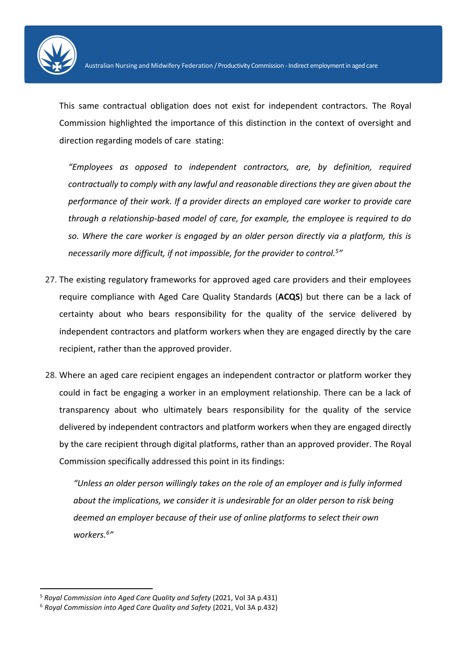

This same contractual obligation does not exist for independent contractors. The Royal Commission highlighted the importance of this distinction in the context of oversight and direction regarding models of care stating:

*"Employees as opposed to independent contractors, are, by definition, required contractually to comply with any lawful and reasonable directions they are given about the performance of their work. If a provider directs an employed care worker to provide care through a relationship-based model of care, for example, the employee is required to do so. Where the care worker is engaged by an older person directly via a platform, this is necessarily more difficult, if not impossible, for the provider to control.<sup>5</sup> "*

- 27. The existing regulatory frameworks for approved aged care providers and their employees require compliance with Aged Care Quality Standards (**ACQS**) but there can be a lack of certainty about who bears responsibility for the quality of the service delivered by independent contractors and platform workers when they are engaged directly by the care recipient, rather than the approved provider.
- 28. Where an aged care recipient engages an independent contractor or platform worker they could in fact be engaging a worker in an employment relationship. There can be a lack of transparency about who ultimately bears responsibility for the quality of the service delivered by independent contractors and platform workers when they are engaged directly by the care recipient through digital platforms, rather than an approved provider. The Royal Commission specifically addressed this point in its findings:

*"Unless an older person willingly takes on the role of an employer and is fully informed about the implications, we consider it is undesirable for an older person to risk being deemed an employer because of their use of online platforms to select their own workers.<sup>6</sup> "*

1

<sup>5</sup> *Royal Commission into Aged Care Quality and Safety* (2021, Vol 3A p.431)

<sup>6</sup> *Royal Commission into Aged Care Quality and Safety* (2021, Vol 3A p.432)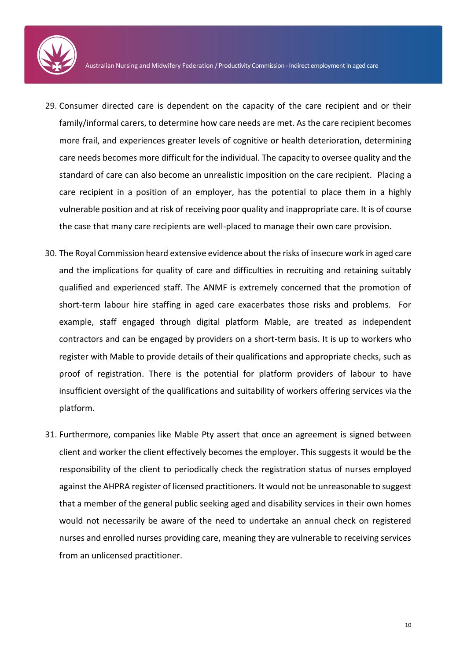

- 29. Consumer directed care is dependent on the capacity of the care recipient and or their family/informal carers, to determine how care needs are met. As the care recipient becomes more frail, and experiences greater levels of cognitive or health deterioration, determining care needs becomes more difficult for the individual. The capacity to oversee quality and the standard of care can also become an unrealistic imposition on the care recipient. Placing a care recipient in a position of an employer, has the potential to place them in a highly vulnerable position and at risk of receiving poor quality and inappropriate care. It is of course the case that many care recipients are well-placed to manage their own care provision.
- 30. The Royal Commission heard extensive evidence about the risks of insecure work in aged care and the implications for quality of care and difficulties in recruiting and retaining suitably qualified and experienced staff. The ANMF is extremely concerned that the promotion of short-term labour hire staffing in aged care exacerbates those risks and problems. For example, staff engaged through digital platform Mable, are treated as independent contractors and can be engaged by providers on a short-term basis. It is up to workers who register with Mable to provide details of their qualifications and appropriate checks, such as proof of registration. There is the potential for platform providers of labour to have insufficient oversight of the qualifications and suitability of workers offering services via the platform.
- 31. Furthermore, companies like Mable Pty assert that once an agreement is signed between client and worker the client effectively becomes the employer. This suggests it would be the responsibility of the client to periodically check the registration status of nurses employed against the AHPRA register of licensed practitioners. It would not be unreasonable to suggest that a member of the general public seeking aged and disability services in their own homes would not necessarily be aware of the need to undertake an annual check on registered nurses and enrolled nurses providing care, meaning they are vulnerable to receiving services from an unlicensed practitioner.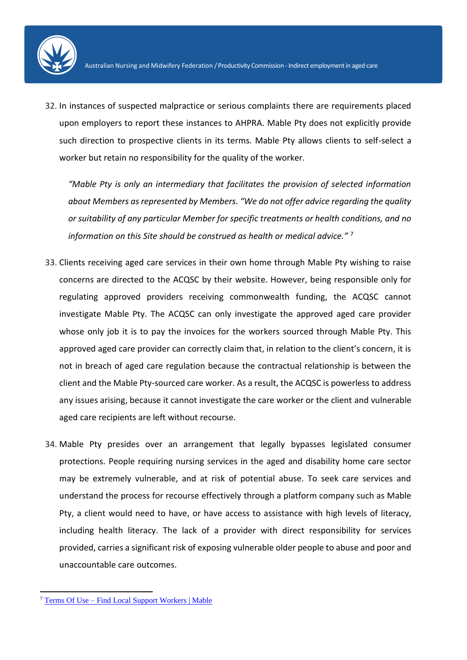

32. In instances of suspected malpractice or serious complaints there are requirements placed upon employers to report these instances to AHPRA. Mable Pty does not explicitly provide such direction to prospective clients in its terms. Mable Pty allows clients to self-select a worker but retain no responsibility for the quality of the worker.

*"Mable Pty is only an intermediary that facilitates the provision of selected information about Members as represented by Members. "We do not offer advice regarding the quality or suitability of any particular Member for specific treatments or health conditions, and no information on this Site should be construed as health or medical advice."* <sup>7</sup>

- 33. Clients receiving aged care services in their own home through Mable Pty wishing to raise concerns are directed to the ACQSC by their website. However, being responsible only for regulating approved providers receiving commonwealth funding, the ACQSC cannot investigate Mable Pty. The ACQSC can only investigate the approved aged care provider whose only job it is to pay the invoices for the workers sourced through Mable Pty. This approved aged care provider can correctly claim that, in relation to the client's concern, it is not in breach of aged care regulation because the contractual relationship is between the client and the Mable Pty-sourced care worker. As a result, the ACQSC is powerless to address any issues arising, because it cannot investigate the care worker or the client and vulnerable aged care recipients are left without recourse.
- 34. Mable Pty presides over an arrangement that legally bypasses legislated consumer protections. People requiring nursing services in the aged and disability home care sector may be extremely vulnerable, and at risk of potential abuse. To seek care services and understand the process for recourse effectively through a platform company such as Mable Pty, a client would need to have, or have access to assistance with high levels of literacy, including health literacy. The lack of a provider with direct responsibility for services provided, carries a significant risk of exposing vulnerable older people to abuse and poor and unaccountable care outcomes.

<sup>7</sup> Terms Of Use – [Find Local Support Workers | Mable](https://mable.com.au/terms-of-use/)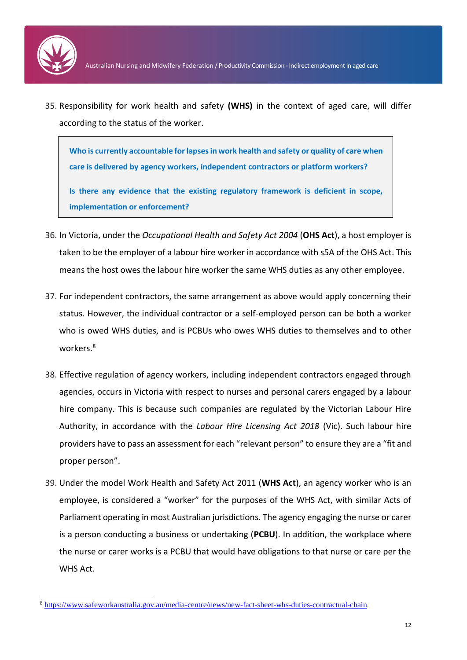

**.** 

35. Responsibility for work health and safety **(WHS)** in the context of aged care, will differ according to the status of the worker.

**Who is currently accountable for lapses in work health and safety or quality of care when care is delivered by agency workers, independent contractors or platform workers?**

**Is there any evidence that the existing regulatory framework is deficient in scope, implementation or enforcement?**

- 36. In Victoria, under the *Occupational Health and Safety Act 2004* (**OHS Act**), a host employer is taken to be the employer of a labour hire worker in accordance with s5A of the OHS Act. This means the host owes the labour hire worker the same WHS duties as any other employee.
- 37. For independent contractors, the same arrangement as above would apply concerning their status. However, the individual contractor or a self-employed person can be both a worker who is owed WHS duties, and is PCBUs who owes WHS duties to themselves and to other workers.<sup>8</sup>
- 38. Effective regulation of agency workers, including independent contractors engaged through agencies, occurs in Victoria with respect to nurses and personal carers engaged by a labour hire company. This is because such companies are regulated by the Victorian Labour Hire Authority, in accordance with the *Labour Hire Licensing Act 2018* (Vic). Such labour hire providers have to pass an assessment for each "relevant person" to ensure they are a "fit and proper person".
- 39. Under the model Work Health and Safety Act 2011 (**WHS Act**), an agency worker who is an employee, is considered a "worker" for the purposes of the WHS Act, with similar Acts of Parliament operating in most Australian jurisdictions. The agency engaging the nurse or carer is a person conducting a business or undertaking (**PCBU**). In addition, the workplace where the nurse or carer works is a PCBU that would have obligations to that nurse or care per the WHS Act.

<sup>8</sup> <https://www.safeworkaustralia.gov.au/media-centre/news/new-fact-sheet-whs-duties-contractual-chain>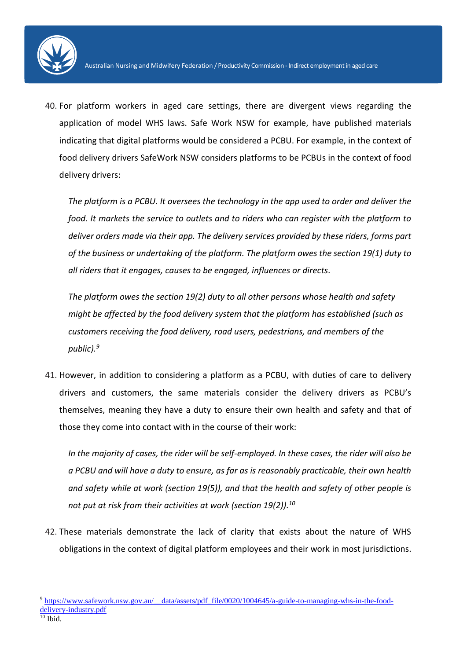

40. For platform workers in aged care settings, there are divergent views regarding the application of model WHS laws. Safe Work NSW for example, have published materials indicating that digital platforms would be considered a PCBU. For example, in the context of food delivery drivers SafeWork NSW considers platforms to be PCBUs in the context of food delivery drivers:

*The platform is a PCBU. It oversees the technology in the app used to order and deliver the food. It markets the service to outlets and to riders who can register with the platform to deliver orders made via their app. The delivery services provided by these riders, forms part of the business or undertaking of the platform. The platform owes the section 19(1) duty to all riders that it engages, causes to be engaged, influences or directs.*

*The platform owes the section 19(2) duty to all other persons whose health and safety might be affected by the food delivery system that the platform has established (such as customers receiving the food delivery, road users, pedestrians, and members of the public). 9*

41. However, in addition to considering a platform as a PCBU, with duties of care to delivery drivers and customers, the same materials consider the delivery drivers as PCBU's themselves, meaning they have a duty to ensure their own health and safety and that of those they come into contact with in the course of their work:

*In the majority of cases, the rider will be self-employed. In these cases, the rider will also be a PCBU and will have a duty to ensure, as far as is reasonably practicable, their own health and safety while at work (section 19(5)), and that the health and safety of other people is not put at risk from their activities at work (section 19(2)). 10*

42. These materials demonstrate the lack of clarity that exists about the nature of WHS obligations in the context of digital platform employees and their work in most jurisdictions.

**<sup>.</sup>** 9 [https://www.safework.nsw.gov.au/\\_\\_data/assets/pdf\\_file/0020/1004645/a-guide-to-managing-whs-in-the-food](https://www.safework.nsw.gov.au/__data/assets/pdf_file/0020/1004645/a-guide-to-managing-whs-in-the-food-delivery-industry.pdf)[delivery-industry.pdf](https://www.safework.nsw.gov.au/__data/assets/pdf_file/0020/1004645/a-guide-to-managing-whs-in-the-food-delivery-industry.pdf)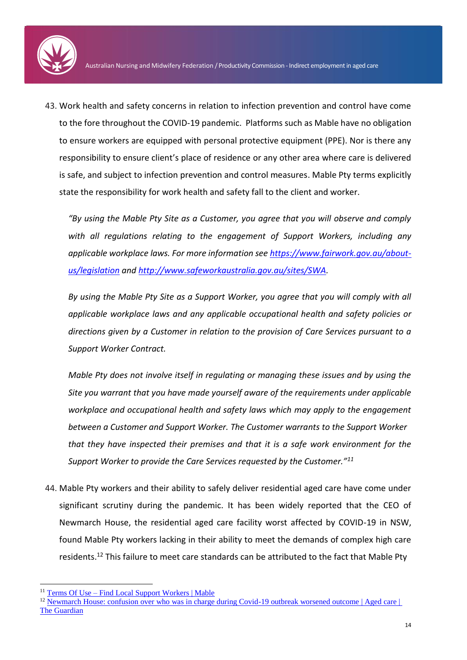

43. Work health and safety concerns in relation to infection prevention and control have come to the fore throughout the COVID-19 pandemic. Platforms such as Mable have no obligation to ensure workers are equipped with personal protective equipment (PPE). Nor is there any responsibility to ensure client's place of residence or any other area where care is delivered is safe, and subject to infection prevention and control measures. Mable Pty terms explicitly state the responsibility for work health and safety fall to the client and worker.

*"By using the Mable Pty Site as a Customer, you agree that you will observe and comply with all regulations relating to the engagement of Support Workers, including any applicable workplace laws. For more information see [https://www.fairwork.gov.au/about](https://www.fairwork.gov.au/about-us/legislation)[us/legislation](https://www.fairwork.gov.au/about-us/legislation) and [http://www.safeworkaustralia.gov.au/sites/SWA.](http://www.safeworkaustralia.gov.au/sites/SWA)*

*By using the Mable Pty Site as a Support Worker, you agree that you will comply with all applicable workplace laws and any applicable occupational health and safety policies or directions given by a Customer in relation to the provision of Care Services pursuant to a Support Worker Contract.* 

*Mable Pty does not involve itself in regulating or managing these issues and by using the Site you warrant that you have made yourself aware of the requirements under applicable workplace and occupational health and safety laws which may apply to the engagement between a Customer and Support Worker. The Customer warrants to the Support Worker that they have inspected their premises and that it is a safe work environment for the Support Worker to provide the Care Services requested by the Customer."<sup>11</sup>*

44. Mable Pty workers and their ability to safely deliver residential aged care have come under significant scrutiny during the pandemic. It has been widely reported that the CEO of Newmarch House, the residential aged care facility worst affected by COVID-19 in NSW, found Mable Pty workers lacking in their ability to meet the demands of complex high care residents.<sup>12</sup> This failure to meet care standards can be attributed to the fact that Mable Pty

1

<sup>11</sup> Terms Of Use – [Find Local Support Workers | Mable](https://mable.com.au/terms-of-use/)

<sup>&</sup>lt;sup>12</sup> Newmarch House: confusion over who was in charge during Covid-19 outbreak worsened outcome | Aged care | [The Guardian](https://www.theguardian.com/australia-news/2020/aug/24/newmarch-house-confusion-over-who-was-in-charge-during-covid-19-outbreak-worsened-outcome)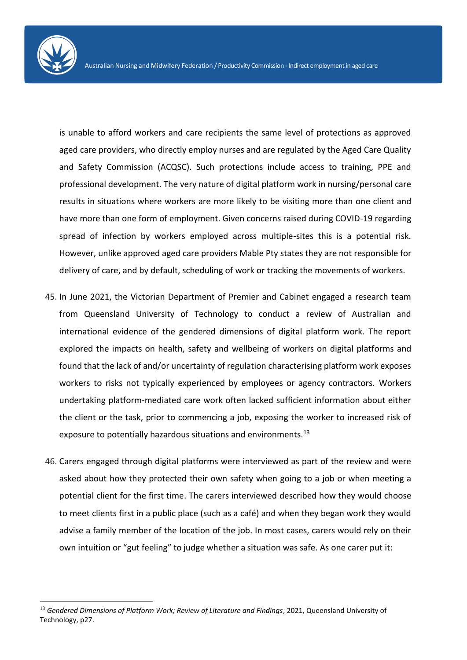is unable to afford workers and care recipients the same level of protections as approved aged care providers, who directly employ nurses and are regulated by the Aged Care Quality and Safety Commission (ACQSC). Such protections include access to training, PPE and professional development. The very nature of digital platform work in nursing/personal care results in situations where workers are more likely to be visiting more than one client and have more than one form of employment. Given concerns raised during COVID-19 regarding spread of infection by workers employed across multiple-sites this is a potential risk. However, unlike approved aged care providers Mable Pty states they are not responsible for delivery of care, and by default, scheduling of work or tracking the movements of workers.

- 45. In June 2021, the Victorian Department of Premier and Cabinet engaged a research team from Queensland University of Technology to conduct a review of Australian and international evidence of the gendered dimensions of digital platform work. The report explored the impacts on health, safety and wellbeing of workers on digital platforms and found that the lack of and/or uncertainty of regulation characterising platform work exposes workers to risks not typically experienced by employees or agency contractors. Workers undertaking platform-mediated care work often lacked sufficient information about either the client or the task, prior to commencing a job, exposing the worker to increased risk of exposure to potentially hazardous situations and environments.<sup>13</sup>
- 46. Carers engaged through digital platforms were interviewed as part of the review and were asked about how they protected their own safety when going to a job or when meeting a potential client for the first time. The carers interviewed described how they would choose to meet clients first in a public place (such as a café) and when they began work they would advise a family member of the location of the job. In most cases, carers would rely on their own intuition or "gut feeling" to judge whether a situation was safe. As one carer put it:

<sup>13</sup> *Gendered Dimensions of Platform Work; Review of Literature and Findings*, 2021, Queensland University of Technology, p27.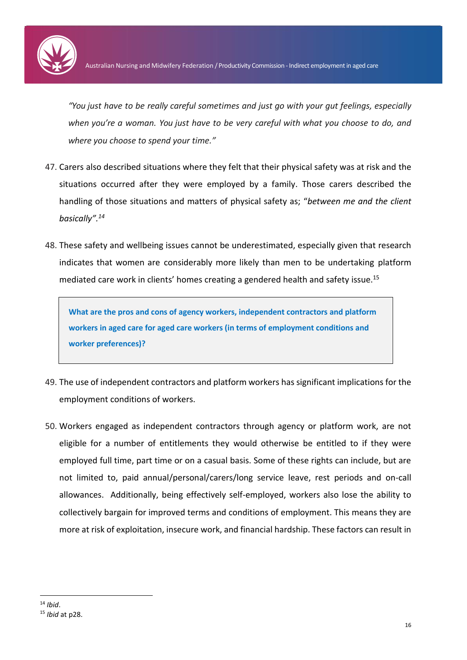

*"You just have to be really careful sometimes and just go with your gut feelings, especially when you're a woman. You just have to be very careful with what you choose to do, and where you choose to spend your time."*

- 47. Carers also described situations where they felt that their physical safety was at risk and the situations occurred after they were employed by a family. Those carers described the handling of those situations and matters of physical safety as; "*between me and the client basically". 14*
- 48. These safety and wellbeing issues cannot be underestimated, especially given that research indicates that women are considerably more likely than men to be undertaking platform mediated care work in clients' homes creating a gendered health and safety issue. 15

**What are the pros and cons of agency workers, independent contractors and platform workers in aged care for aged care workers (in terms of employment conditions and worker preferences)?**

- 49. The use of independent contractors and platform workers has significant implications for the employment conditions of workers.
- 50. Workers engaged as independent contractors through agency or platform work, are not eligible for a number of entitlements they would otherwise be entitled to if they were employed full time, part time or on a casual basis. Some of these rights can include, but are not limited to, paid annual/personal/carers/long service leave, rest periods and on-call allowances. Additionally, being effectively self-employed, workers also lose the ability to collectively bargain for improved terms and conditions of employment. This means they are more at risk of exploitation, insecure work, and financial hardship. These factors can result in

**<sup>.</sup>** <sup>14</sup> *Ibid*. <sup>15</sup> *Ibid* at p28.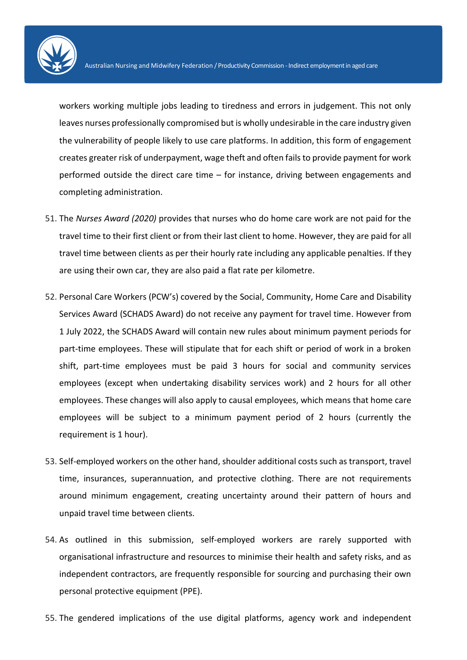

workers working multiple jobs leading to tiredness and errors in judgement. This not only leaves nurses professionally compromised but is wholly undesirable in the care industry given the vulnerability of people likely to use care platforms. In addition, this form of engagement creates greater risk of underpayment, wage theft and often fails to provide payment for work performed outside the direct care time – for instance, driving between engagements and completing administration.

- 51. The *Nurses Award (2020)* provides that nurses who do home care work are not paid for the travel time to their first client or from their last client to home. However, they are paid for all travel time between clients as per their hourly rate including any applicable penalties. If they are using their own car, they are also paid a flat rate per kilometre.
- 52. Personal Care Workers (PCW's) covered by the Social, Community, Home Care and Disability Services Award (SCHADS Award) do not receive any payment for travel time. However from 1 July 2022, the SCHADS Award will contain new rules about minimum payment periods for part-time employees. These will stipulate that for each shift or period of work in a broken shift, part-time employees must be paid 3 hours for social and community services employees (except when undertaking disability services work) and 2 hours for all other employees. These changes will also apply to causal employees, which means that home care employees will be subject to a minimum payment period of 2 hours (currently the requirement is 1 hour).
- 53. Self-employed workers on the other hand, shoulder additional costs such as transport, travel time, insurances, superannuation, and protective clothing. There are not requirements around minimum engagement, creating uncertainty around their pattern of hours and unpaid travel time between clients.
- 54. As outlined in this submission, self-employed workers are rarely supported with organisational infrastructure and resources to minimise their health and safety risks, and as independent contractors, are frequently responsible for sourcing and purchasing their own personal protective equipment (PPE).
- 55. The gendered implications of the use digital platforms, agency work and independent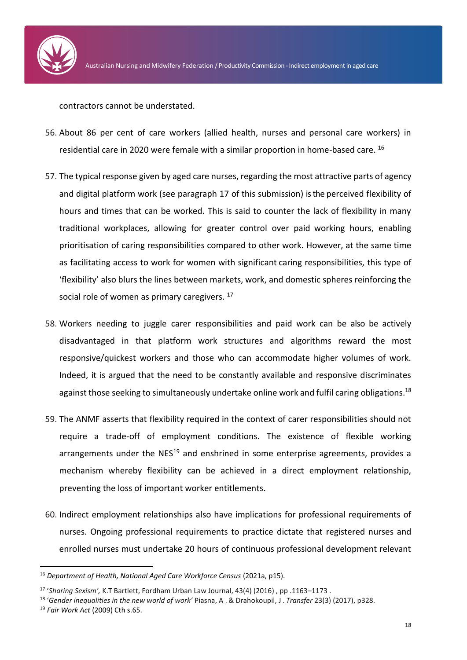

contractors cannot be understated.

- 56. About 86 per cent of care workers (allied health, nurses and personal care workers) in residential care in 2020 were female with a similar proportion in home-based care. 16
- 57. The typical response given by aged care nurses, regarding the most attractive parts of agency and digital platform work (see paragraph 17 of this submission) is the perceived flexibility of hours and times that can be worked. This is said to counter the lack of flexibility in many traditional workplaces, allowing for greater control over paid working hours, enabling prioritisation of caring responsibilities compared to other work. However, at the same time as facilitating access to work for women with significant caring responsibilities, this type of 'flexibility' also blurs the lines between markets, work, and domestic spheres reinforcing the social role of women as primary caregivers.  $17$
- 58. Workers needing to juggle carer responsibilities and paid work can be also be actively disadvantaged in that platform work structures and algorithms reward the most responsive/quickest workers and those who can accommodate higher volumes of work. Indeed, it is argued that the need to be constantly available and responsive discriminates against those seeking to simultaneously undertake online work and fulfil caring obligations.<sup>18</sup>
- 59. The ANMF asserts that flexibility required in the context of carer responsibilities should not require a trade-off of employment conditions. The existence of flexible working arrangements under the  $NES^{19}$  and enshrined in some enterprise agreements, provides a mechanism whereby flexibility can be achieved in a direct employment relationship, preventing the loss of important worker entitlements.
- 60. Indirect employment relationships also have implications for professional requirements of nurses. Ongoing professional requirements to practice dictate that registered nurses and enrolled nurses must undertake 20 hours of continuous professional development relevant

<sup>16</sup> *Department of Health, National Aged Care Workforce Census* (2021a, p15).

<sup>17</sup> '*Sharing Sexism',* K.T Bartlett, Fordham Urban Law Journal, 43(4) (2016) , pp .1163–1173 .

<sup>18</sup> '*Gender inequalities in the new world of work'* Piasna, A . & Drahokoupil, J . *Transfer* 23(3) (2017), p328.

<sup>19</sup> *Fair Work Act* (2009) Cth s.65.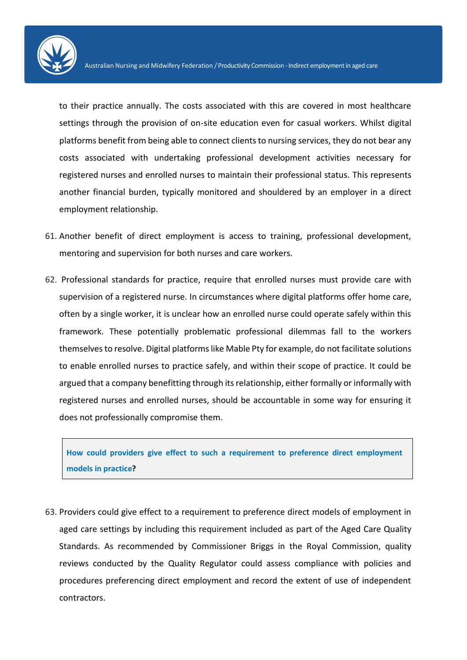

to their practice annually. The costs associated with this are covered in most healthcare settings through the provision of on-site education even for casual workers. Whilst digital platforms benefit from being able to connect clients to nursing services, they do not bear any costs associated with undertaking professional development activities necessary for registered nurses and enrolled nurses to maintain their professional status. This represents another financial burden, typically monitored and shouldered by an employer in a direct employment relationship.

- 61. Another benefit of direct employment is access to training, professional development, mentoring and supervision for both nurses and care workers.
- 62. Professional standards for practice, require that enrolled nurses must provide care with supervision of a registered nurse. In circumstances where digital platforms offer home care, often by a single worker, it is unclear how an enrolled nurse could operate safely within this framework. These potentially problematic professional dilemmas fall to the workers themselves to resolve. Digital platforms like Mable Pty for example, do not facilitate solutions to enable enrolled nurses to practice safely, and within their scope of practice. It could be argued that a company benefitting through its relationship, either formally or informally with registered nurses and enrolled nurses, should be accountable in some way for ensuring it does not professionally compromise them.

**How could providers give effect to such a requirement to preference direct employment models in practice?**

63. Providers could give effect to a requirement to preference direct models of employment in aged care settings by including this requirement included as part of the Aged Care Quality Standards. As recommended by Commissioner Briggs in the Royal Commission, quality reviews conducted by the Quality Regulator could assess compliance with policies and procedures preferencing direct employment and record the extent of use of independent contractors.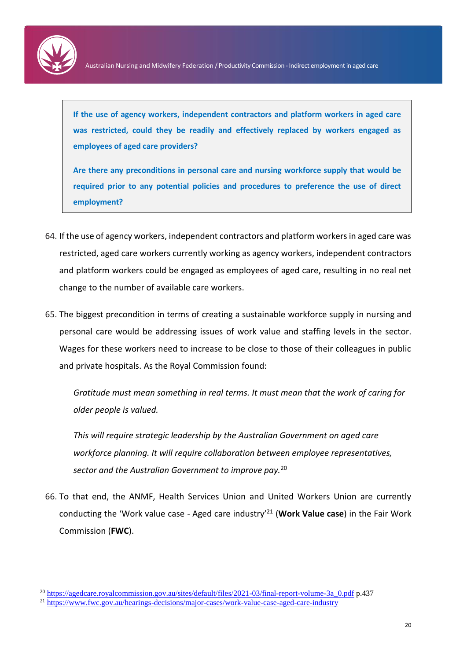

1

**If the use of agency workers, independent contractors and platform workers in aged care was restricted, could they be readily and effectively replaced by workers engaged as employees of aged care providers?**

**Are there any preconditions in personal care and nursing workforce supply that would be required prior to any potential policies and procedures to preference the use of direct employment?**

- 64. If the use of agency workers, independent contractors and platform workers in aged care was restricted, aged care workers currently working as agency workers, independent contractors and platform workers could be engaged as employees of aged care, resulting in no real net change to the number of available care workers.
- 65. The biggest precondition in terms of creating a sustainable workforce supply in nursing and personal care would be addressing issues of work value and staffing levels in the sector. Wages for these workers need to increase to be close to those of their colleagues in public and private hospitals. As the Royal Commission found:

*Gratitude must mean something in real terms. It must mean that the work of caring for older people is valued.*

*This will require strategic leadership by the Australian Government on aged care workforce planning. It will require collaboration between employee representatives, sector and the Australian Government to improve pay.*<sup>20</sup>

66. To that end, the ANMF, Health Services Union and United Workers Union are currently conducting the 'Work value case - Aged care industry'<sup>21</sup> (**Work Value case**) in the Fair Work Commission (**FWC**).

<sup>&</sup>lt;sup>20</sup> [https://agedcare.royalcommission.gov.au/sites/default/files/2021-03/final-report-volume-3a\\_0.pdf](https://agedcare.royalcommission.gov.au/sites/default/files/2021-03/final-report-volume-3a_0.pdf) p.437

<sup>21</sup> <https://www.fwc.gov.au/hearings-decisions/major-cases/work-value-case-aged-care-industry>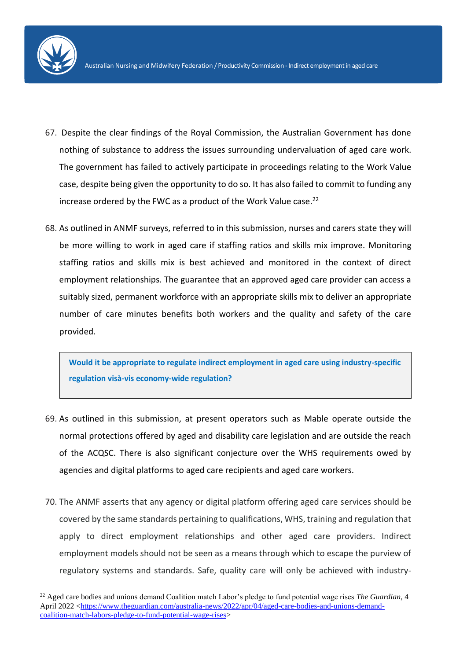**.** 

- 67. Despite the clear findings of the Royal Commission, the Australian Government has done nothing of substance to address the issues surrounding undervaluation of aged care work. The government has failed to actively participate in proceedings relating to the Work Value case, despite being given the opportunity to do so. It has also failed to commit to funding any increase ordered by the FWC as a product of the Work Value case. 22
- 68. As outlined in ANMF surveys, referred to in this submission, nurses and carers state they will be more willing to work in aged care if staffing ratios and skills mix improve. Monitoring staffing ratios and skills mix is best achieved and monitored in the context of direct employment relationships. The guarantee that an approved aged care provider can access a suitably sized, permanent workforce with an appropriate skills mix to deliver an appropriate number of care minutes benefits both workers and the quality and safety of the care provided.

**Would it be appropriate to regulate indirect employment in aged care using industry-specific regulation visà-vis economy-wide regulation?**

- 69. As outlined in this submission, at present operators such as Mable operate outside the normal protections offered by aged and disability care legislation and are outside the reach of the ACQSC. There is also significant conjecture over the WHS requirements owed by agencies and digital platforms to aged care recipients and aged care workers.
- 70. The ANMF asserts that any agency or digital platform offering aged care services should be covered by the same standards pertaining to qualifications, WHS, training and regulation that apply to direct employment relationships and other aged care providers. Indirect employment models should not be seen as a means through which to escape the purview of regulatory systems and standards. Safe, quality care will only be achieved with industry-

<sup>22</sup> Aged care bodies and unions demand Coalition match Labor's pledge to fund potential wage rises *The Guardian*, 4 April 2022 [<https://www.theguardian.com/australia-news/2022/apr/04/aged-care-bodies-and-unions-demand](https://www.theguardian.com/australia-news/2022/apr/04/aged-care-bodies-and-unions-demand-coalition-match-labors-pledge-to-fund-potential-wage-rises)[coalition-match-labors-pledge-to-fund-potential-wage-rises>](https://www.theguardian.com/australia-news/2022/apr/04/aged-care-bodies-and-unions-demand-coalition-match-labors-pledge-to-fund-potential-wage-rises)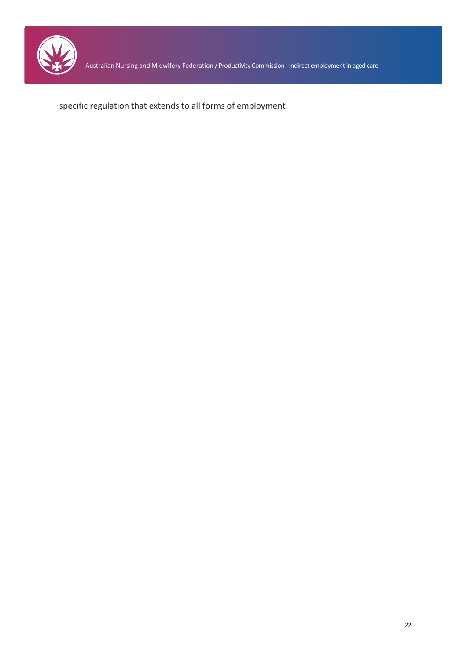

specific regulation that extends to all forms of employment.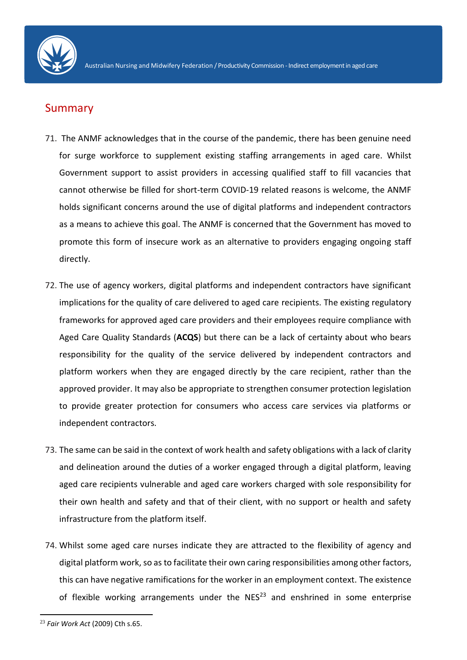

## Summary

- 71. The ANMF acknowledges that in the course of the pandemic, there has been genuine need for surge workforce to supplement existing staffing arrangements in aged care. Whilst Government support to assist providers in accessing qualified staff to fill vacancies that cannot otherwise be filled for short-term COVID-19 related reasons is welcome, the ANMF holds significant concerns around the use of digital platforms and independent contractors as a means to achieve this goal. The ANMF is concerned that the Government has moved to promote this form of insecure work as an alternative to providers engaging ongoing staff directly.
- 72. The use of agency workers, digital platforms and independent contractors have significant implications for the quality of care delivered to aged care recipients. The existing regulatory frameworks for approved aged care providers and their employees require compliance with Aged Care Quality Standards (**ACQS**) but there can be a lack of certainty about who bears responsibility for the quality of the service delivered by independent contractors and platform workers when they are engaged directly by the care recipient, rather than the approved provider. It may also be appropriate to strengthen consumer protection legislation to provide greater protection for consumers who access care services via platforms or independent contractors.
- 73. The same can be said in the context of work health and safety obligations with a lack of clarity and delineation around the duties of a worker engaged through a digital platform, leaving aged care recipients vulnerable and aged care workers charged with sole responsibility for their own health and safety and that of their client, with no support or health and safety infrastructure from the platform itself.
- 74. Whilst some aged care nurses indicate they are attracted to the flexibility of agency and digital platform work, so as to facilitate their own caring responsibilities among other factors, this can have negative ramifications for the worker in an employment context. The existence of flexible working arrangements under the  $NES^{23}$  and enshrined in some enterprise

<sup>23</sup> *Fair Work Act* (2009) Cth s.65.